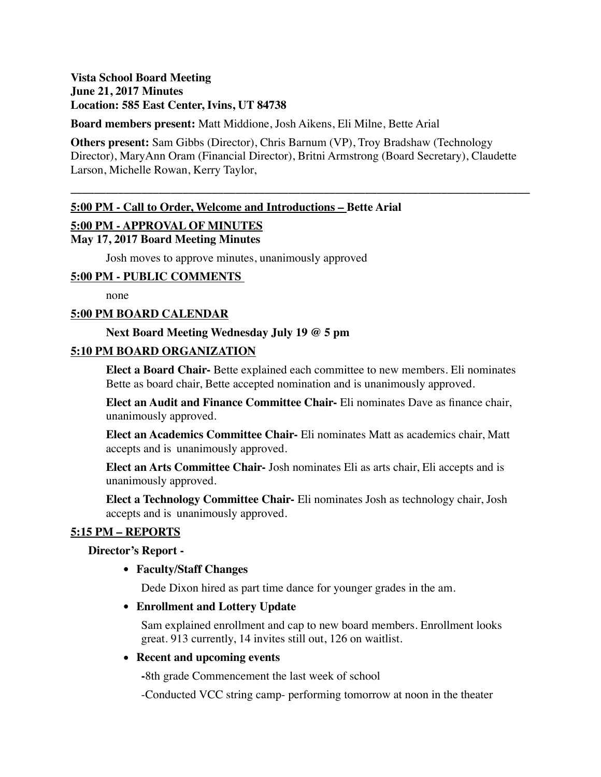# **Vista School Board Meeting June 21, 2017 Minutes Location: 585 East Center, Ivins, UT 84738**

**Board members present:** Matt Middione, Josh Aikens, Eli Milne, Bette Arial

**Others present:** Sam Gibbs (Director), Chris Barnum (VP), Troy Bradshaw (Technology Director), MaryAnn Oram (Financial Director), Britni Armstrong (Board Secretary), Claudette Larson, Michelle Rowan, Kerry Taylor,

**\_\_\_\_\_\_\_\_\_\_\_\_\_\_\_\_\_\_\_\_\_\_\_\_\_\_\_\_\_\_\_\_\_\_\_\_\_\_\_\_\_\_\_\_\_\_\_\_\_\_\_\_\_\_\_\_\_\_\_\_\_\_\_\_\_\_\_\_\_\_\_\_\_\_\_\_\_\_**

## **5:00 PM - Call to Order, Welcome and Introductions – Bette Arial**

## **5:00 PM - APPROVAL OF MINUTES**

## **May 17, 2017 Board Meeting Minutes**

Josh moves to approve minutes, unanimously approved

## **5:00 PM - PUBLIC COMMENTS**

none

## **5:00 PM BOARD CALENDAR**

## **Next Board Meeting Wednesday July 19 @ 5 pm**

## **5:10 PM BOARD ORGANIZATION**

**Elect a Board Chair-** Bette explained each committee to new members. Eli nominates Bette as board chair, Bette accepted nomination and is unanimously approved.

**Elect an Audit and Finance Committee Chair-** Eli nominates Dave as finance chair, unanimously approved.

**Elect an Academics Committee Chair-** Eli nominates Matt as academics chair, Matt accepts and is unanimously approved.

**Elect an Arts Committee Chair-** Josh nominates Eli as arts chair, Eli accepts and is unanimously approved.

**Elect a Technology Committee Chair-** Eli nominates Josh as technology chair, Josh accepts and is unanimously approved.

## **5:15 PM – REPORTS**

#### **Director's Report -**

**• Faculty/Staff Changes**

Dede Dixon hired as part time dance for younger grades in the am.

**• Enrollment and Lottery Update**

Sam explained enrollment and cap to new board members. Enrollment looks great. 913 currently, 14 invites still out, 126 on waitlist.

### **• Recent and upcoming events**

**-**8th grade Commencement the last week of school

-Conducted VCC string camp- performing tomorrow at noon in the theater